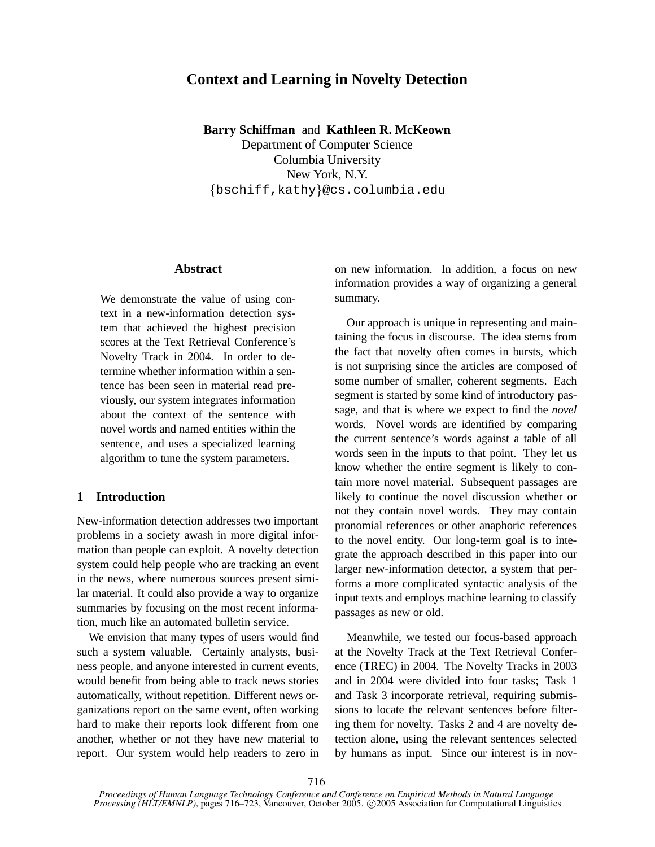# **Context and Learning in Novelty Detection**

**Barry Schiffman** and **Kathleen R. McKeown**

Department of Computer Science Columbia University New York, N.Y. {bschiff,kathy}@cs.columbia.edu

## **Abstract**

We demonstrate the value of using context in a new-information detection system that achieved the highest precision scores at the Text Retrieval Conference's Novelty Track in 2004. In order to determine whether information within a sentence has been seen in material read previously, our system integrates information about the context of the sentence with novel words and named entities within the sentence, and uses a specialized learning algorithm to tune the system parameters.

# **1 Introduction**

New-information detection addresses two important problems in a society awash in more digital information than people can exploit. A novelty detection system could help people who are tracking an event in the news, where numerous sources present similar material. It could also provide a way to organize summaries by focusing on the most recent information, much like an automated bulletin service.

We envision that many types of users would find such a system valuable. Certainly analysts, business people, and anyone interested in current events, would benefit from being able to track news stories automatically, without repetition. Different news organizations report on the same event, often working hard to make their reports look different from one another, whether or not they have new material to report. Our system would help readers to zero in

on new information. In addition, a focus on new information provides a way of organizing a general summary.

Our approach is unique in representing and maintaining the focus in discourse. The idea stems from the fact that novelty often comes in bursts, which is not surprising since the articles are composed of some number of smaller, coherent segments. Each segment is started by some kind of introductory passage, and that is where we expect to find the *novel* words. Novel words are identified by comparing the current sentence's words against a table of all words seen in the inputs to that point. They let us know whether the entire segment is likely to contain more novel material. Subsequent passages are likely to continue the novel discussion whether or not they contain novel words. They may contain pronomial references or other anaphoric references to the novel entity. Our long-term goal is to integrate the approach described in this paper into our larger new-information detector, a system that performs a more complicated syntactic analysis of the input texts and employs machine learning to classify passages as new or old.

Meanwhile, we tested our focus-based approach at the Novelty Track at the Text Retrieval Conference (TREC) in 2004. The Novelty Tracks in 2003 and in 2004 were divided into four tasks; Task 1 and Task 3 incorporate retrieval, requiring submissions to locate the relevant sentences before filtering them for novelty. Tasks 2 and 4 are novelty detection alone, using the relevant sentences selected by humans as input. Since our interest is in nov-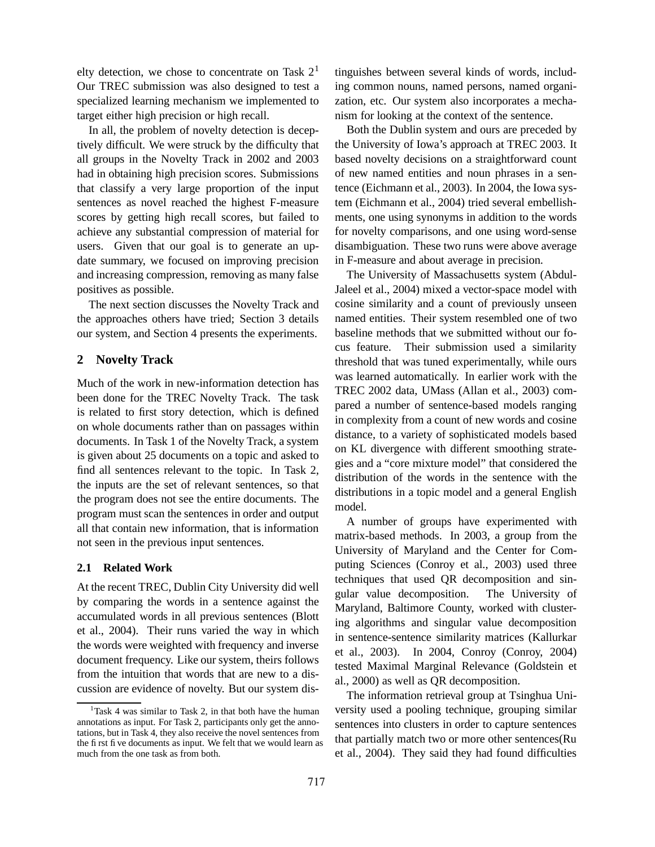elty detection, we chose to concentrate on Task  $2<sup>1</sup>$ Our TREC submission was also designed to test a specialized learning mechanism we implemented to target either high precision or high recall.

In all, the problem of novelty detection is deceptively difficult. We were struck by the difficulty that all groups in the Novelty Track in 2002 and 2003 had in obtaining high precision scores. Submissions that classify a very large proportion of the input sentences as novel reached the highest F-measure scores by getting high recall scores, but failed to achieve any substantial compression of material for users. Given that our goal is to generate an update summary, we focused on improving precision and increasing compression, removing as many false positives as possible.

The next section discusses the Novelty Track and the approaches others have tried; Section 3 details our system, and Section 4 presents the experiments.

# **2 Novelty Track**

Much of the work in new-information detection has been done for the TREC Novelty Track. The task is related to first story detection, which is defined on whole documents rather than on passages within documents. In Task 1 of the Novelty Track, a system is given about 25 documents on a topic and asked to find all sentences relevant to the topic. In Task 2, the inputs are the set of relevant sentences, so that the program does not see the entire documents. The program must scan the sentences in order and output all that contain new information, that is information not seen in the previous input sentences.

# **2.1 Related Work**

At the recent TREC, Dublin City University did well by comparing the words in a sentence against the accumulated words in all previous sentences (Blott et al., 2004). Their runs varied the way in which the words were weighted with frequency and inverse document frequency. Like our system, theirs follows from the intuition that words that are new to a discussion are evidence of novelty. But our system distinguishes between several kinds of words, including common nouns, named persons, named organization, etc. Our system also incorporates a mechanism for looking at the context of the sentence.

Both the Dublin system and ours are preceded by the University of Iowa's approach at TREC 2003. It based novelty decisions on a straightforward count of new named entities and noun phrases in a sentence (Eichmann et al., 2003). In 2004, the Iowa system (Eichmann et al., 2004) tried several embellishments, one using synonyms in addition to the words for novelty comparisons, and one using word-sense disambiguation. These two runs were above average in F-measure and about average in precision.

The University of Massachusetts system (Abdul-Jaleel et al., 2004) mixed a vector-space model with cosine similarity and a count of previously unseen named entities. Their system resembled one of two baseline methods that we submitted without our focus feature. Their submission used a similarity threshold that was tuned experimentally, while ours was learned automatically. In earlier work with the TREC 2002 data, UMass (Allan et al., 2003) compared a number of sentence-based models ranging in complexity from a count of new words and cosine distance, to a variety of sophisticated models based on KL divergence with different smoothing strategies and a "core mixture model" that considered the distribution of the words in the sentence with the distributions in a topic model and a general English model.

A number of groups have experimented with matrix-based methods. In 2003, a group from the University of Maryland and the Center for Computing Sciences (Conroy et al., 2003) used three techniques that used QR decomposition and singular value decomposition. The University of Maryland, Baltimore County, worked with clustering algorithms and singular value decomposition in sentence-sentence similarity matrices (Kallurkar et al., 2003). In 2004, Conroy (Conroy, 2004) tested Maximal Marginal Relevance (Goldstein et al., 2000) as well as QR decomposition.

The information retrieval group at Tsinghua University used a pooling technique, grouping similar sentences into clusters in order to capture sentences that partially match two or more other sentences(Ru et al., 2004). They said they had found difficulties

 $1$ Task 4 was similar to Task 2, in that both have the human annotations as input. For Task 2, participants only get the annotations, but in Task 4, they also receive the novel sentences from the first five documents as input. We felt that we would learn as much from the one task as from both.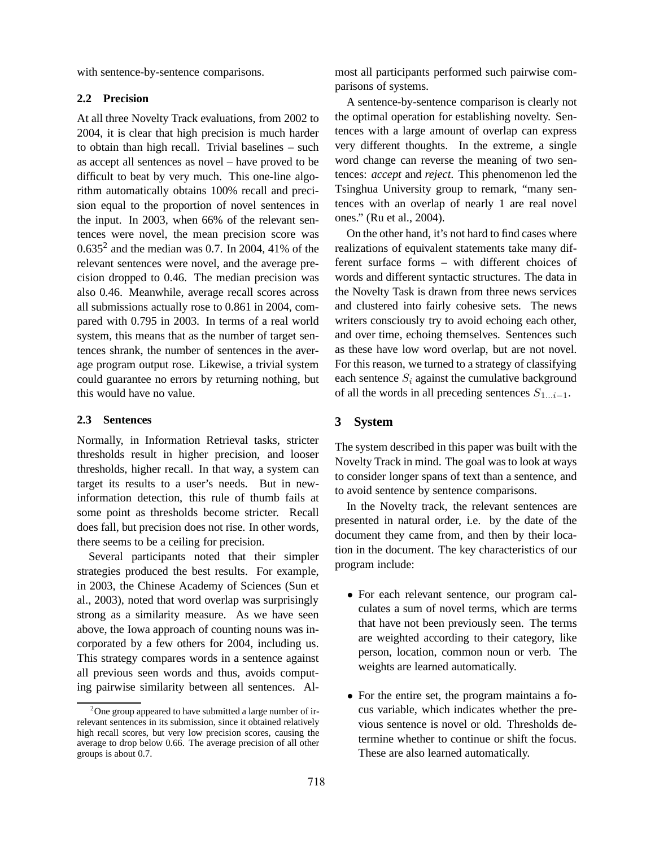with sentence-by-sentence comparisons.

#### **2.2 Precision**

At all three Novelty Track evaluations, from 2002 to 2004, it is clear that high precision is much harder to obtain than high recall. Trivial baselines – such as accept all sentences as novel – have proved to be difficult to beat by very much. This one-line algorithm automatically obtains 100% recall and precision equal to the proportion of novel sentences in the input. In 2003, when 66% of the relevant sentences were novel, the mean precision score was  $0.635<sup>2</sup>$  and the median was 0.7. In 2004, 41% of the relevant sentences were novel, and the average precision dropped to 0.46. The median precision was also 0.46. Meanwhile, average recall scores across all submissions actually rose to 0.861 in 2004, compared with 0.795 in 2003. In terms of a real world system, this means that as the number of target sentences shrank, the number of sentences in the average program output rose. Likewise, a trivial system could guarantee no errors by returning nothing, but this would have no value.

## **2.3 Sentences**

Normally, in Information Retrieval tasks, stricter thresholds result in higher precision, and looser thresholds, higher recall. In that way, a system can target its results to a user's needs. But in newinformation detection, this rule of thumb fails at some point as thresholds become stricter. Recall does fall, but precision does not rise. In other words, there seems to be a ceiling for precision.

Several participants noted that their simpler strategies produced the best results. For example, in 2003, the Chinese Academy of Sciences (Sun et al., 2003), noted that word overlap was surprisingly strong as a similarity measure. As we have seen above, the Iowa approach of counting nouns was incorporated by a few others for 2004, including us. This strategy compares words in a sentence against all previous seen words and thus, avoids computing pairwise similarity between all sentences. Almost all participants performed such pairwise comparisons of systems.

A sentence-by-sentence comparison is clearly not the optimal operation for establishing novelty. Sentences with a large amount of overlap can express very different thoughts. In the extreme, a single word change can reverse the meaning of two sentences: *accept* and *reject*. This phenomenon led the Tsinghua University group to remark, "many sentences with an overlap of nearly 1 are real novel ones." (Ru et al., 2004).

On the other hand, it's not hard to find cases where realizations of equivalent statements take many different surface forms – with different choices of words and different syntactic structures. The data in the Novelty Task is drawn from three news services and clustered into fairly cohesive sets. The news writers consciously try to avoid echoing each other, and over time, echoing themselves. Sentences such as these have low word overlap, but are not novel. For this reason, we turned to a strategy of classifying each sentence  $S_i$  against the cumulative background of all the words in all preceding sentences  $S_{1...i-1}$ .

# **3 System**

The system described in this paper was built with the Novelty Track in mind. The goal was to look at ways to consider longer spans of text than a sentence, and to avoid sentence by sentence comparisons.

In the Novelty track, the relevant sentences are presented in natural order, i.e. by the date of the document they came from, and then by their location in the document. The key characteristics of our program include:

- For each relevant sentence, our program calculates a sum of novel terms, which are terms that have not been previously seen. The terms are weighted according to their category, like person, location, common noun or verb. The weights are learned automatically.
- For the entire set, the program maintains a focus variable, which indicates whether the previous sentence is novel or old. Thresholds determine whether to continue or shift the focus. These are also learned automatically.

 $2^2$ One group appeared to have submitted a large number of irrelevant sentences in its submission, since it obtained relatively high recall scores, but very low precision scores, causing the average to drop below 0.66. The average precision of all other groups is about 0.7.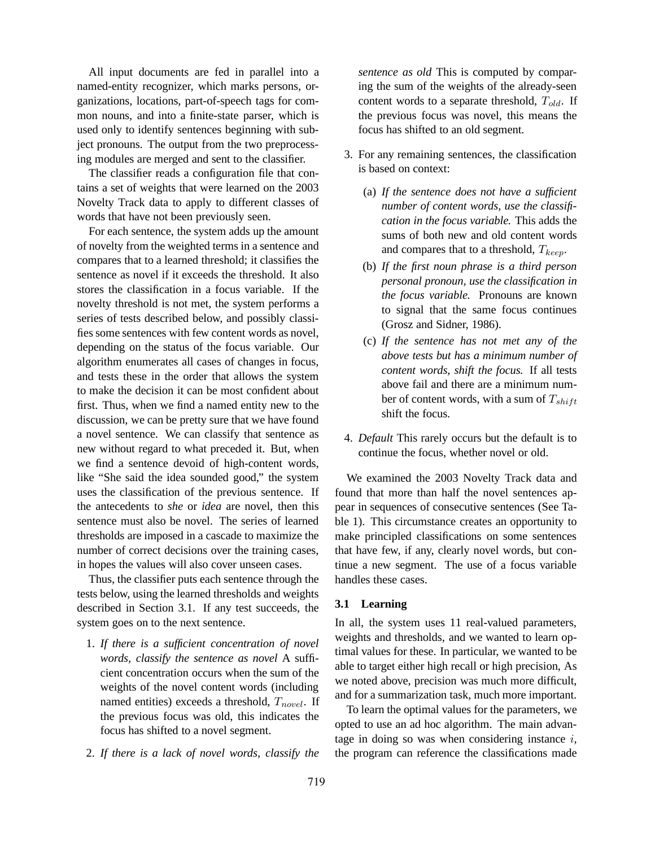All input documents are fed in parallel into a named-entity recognizer, which marks persons, organizations, locations, part-of-speech tags for common nouns, and into a finite-state parser, which is used only to identify sentences beginning with subject pronouns. The output from the two preprocessing modules are merged and sent to the classifier.

The classifier reads a configuration file that contains a set of weights that were learned on the 2003 Novelty Track data to apply to different classes of words that have not been previously seen.

For each sentence, the system adds up the amount of novelty from the weighted terms in a sentence and compares that to a learned threshold; it classifies the sentence as novel if it exceeds the threshold. It also stores the classification in a focus variable. If the novelty threshold is not met, the system performs a series of tests described below, and possibly classifies some sentences with few content words as novel, depending on the status of the focus variable. Our algorithm enumerates all cases of changes in focus, and tests these in the order that allows the system to make the decision it can be most confident about first. Thus, when we find a named entity new to the discussion, we can be pretty sure that we have found a novel sentence. We can classify that sentence as new without regard to what preceded it. But, when we find a sentence devoid of high-content words, like "She said the idea sounded good," the system uses the classification of the previous sentence. If the antecedents to *she* or *idea* are novel, then this sentence must also be novel. The series of learned thresholds are imposed in a cascade to maximize the number of correct decisions over the training cases, in hopes the values will also cover unseen cases.

Thus, the classifier puts each sentence through the tests below, using the learned thresholds and weights described in Section 3.1. If any test succeeds, the system goes on to the next sentence.

- 1. *If there is a sufficient concentration of novel words, classify the sentence as novel* A sufficient concentration occurs when the sum of the weights of the novel content words (including named entities) exceeds a threshold,  $T_{novel}$ . If the previous focus was old, this indicates the focus has shifted to a novel segment.
- 2. *If there is a lack of novel words, classify the*

*sentence as old* This is computed by comparing the sum of the weights of the already-seen content words to a separate threshold,  $T_{old}$ . If the previous focus was novel, this means the focus has shifted to an old segment.

- 3. For any remaining sentences, the classification is based on context:
	- (a) *If the sentence does not have a sufficient number of content words, use the classification in the focus variable.* This adds the sums of both new and old content words and compares that to a threshold,  $T_{keep}$ .
	- (b) *If the first noun phrase is a third person personal pronoun, use the classification in the focus variable.* Pronouns are known to signal that the same focus continues (Grosz and Sidner, 1986).
	- (c) *If the sentence has not met any of the above tests but has a minimum number of content words, shift the focus.* If all tests above fail and there are a minimum number of content words, with a sum of  $T_{shift}$ shift the focus.
- 4. *Default* This rarely occurs but the default is to continue the focus, whether novel or old.

We examined the 2003 Novelty Track data and found that more than half the novel sentences appear in sequences of consecutive sentences (See Table 1). This circumstance creates an opportunity to make principled classifications on some sentences that have few, if any, clearly novel words, but continue a new segment. The use of a focus variable handles these cases.

## **3.1 Learning**

In all, the system uses 11 real-valued parameters, weights and thresholds, and we wanted to learn optimal values for these. In particular, we wanted to be able to target either high recall or high precision, As we noted above, precision was much more difficult, and for a summarization task, much more important.

To learn the optimal values for the parameters, we opted to use an ad hoc algorithm. The main advantage in doing so was when considering instance  $i$ , the program can reference the classifications made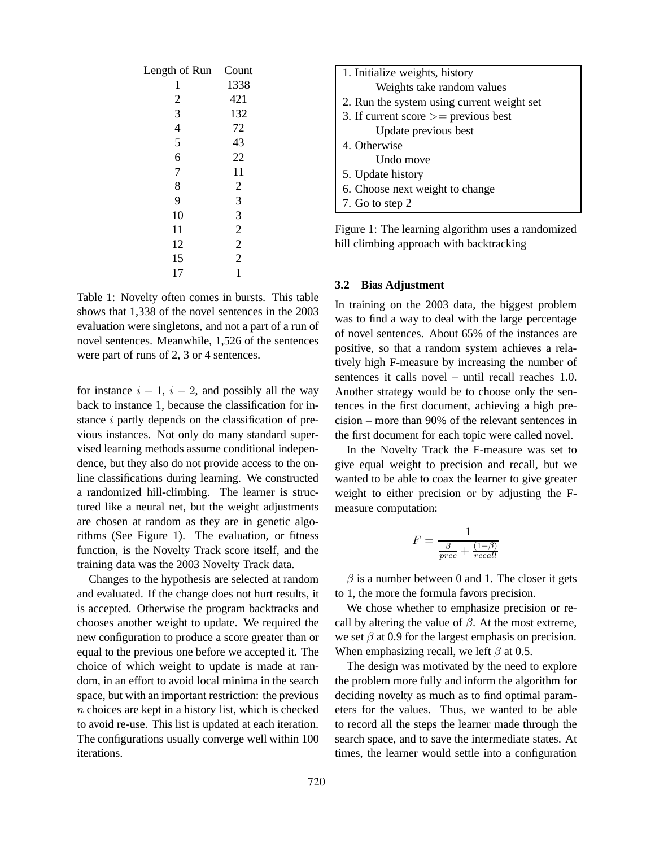| Length of Run            | Count          |  |  |
|--------------------------|----------------|--|--|
| 1                        | 1338           |  |  |
| $\overline{\mathbf{c}}$  | 421            |  |  |
| 3                        | 132            |  |  |
| $\overline{\mathcal{L}}$ | 72             |  |  |
| 5                        | 43             |  |  |
| 6                        | 22             |  |  |
| $\overline{7}$           | 11             |  |  |
| 8                        | $\overline{c}$ |  |  |
| 9                        | 3              |  |  |
| 10                       | 3              |  |  |
| 11                       | $\overline{c}$ |  |  |
| 12                       | $\overline{2}$ |  |  |
| 15                       | $\overline{2}$ |  |  |
| 17                       | 1              |  |  |

Table 1: Novelty often comes in bursts. This table shows that 1,338 of the novel sentences in the 2003 evaluation were singletons, and not a part of a run of novel sentences. Meanwhile, 1,526 of the sentences were part of runs of 2, 3 or 4 sentences.

for instance  $i - 1$ ,  $i - 2$ , and possibly all the way back to instance 1, because the classification for instance i partly depends on the classification of previous instances. Not only do many standard supervised learning methods assume conditional independence, but they also do not provide access to the online classifications during learning. We constructed a randomized hill-climbing. The learner is structured like a neural net, but the weight adjustments are chosen at random as they are in genetic algorithms (See Figure 1). The evaluation, or fitness function, is the Novelty Track score itself, and the training data was the 2003 Novelty Track data.

Changes to the hypothesis are selected at random and evaluated. If the change does not hurt results, it is accepted. Otherwise the program backtracks and chooses another weight to update. We required the new configuration to produce a score greater than or equal to the previous one before we accepted it. The choice of which weight to update is made at random, in an effort to avoid local minima in the search space, but with an important restriction: the previous  $n$  choices are kept in a history list, which is checked to avoid re-use. This list is updated at each iteration. The configurations usually converge well within 100 iterations.

Figure 1: The learning algorithm uses a randomized hill climbing approach with backtracking

#### **3.2 Bias Adjustment**

In training on the 2003 data, the biggest problem was to find a way to deal with the large percentage of novel sentences. About 65% of the instances are positive, so that a random system achieves a relatively high F-measure by increasing the number of sentences it calls novel – until recall reaches 1.0. Another strategy would be to choose only the sentences in the first document, achieving a high precision – more than 90% of the relevant sentences in the first document for each topic were called novel.

In the Novelty Track the F-measure was set to give equal weight to precision and recall, but we wanted to be able to coax the learner to give greater weight to either precision or by adjusting the Fmeasure computation:

$$
F = \frac{1}{\frac{\beta}{prec} + \frac{(1-\beta)}{recall}}
$$

 $\beta$  is a number between 0 and 1. The closer it gets to 1, the more the formula favors precision.

We chose whether to emphasize precision or recall by altering the value of  $\beta$ . At the most extreme, we set  $\beta$  at 0.9 for the largest emphasis on precision. When emphasizing recall, we left  $\beta$  at 0.5.

The design was motivated by the need to explore the problem more fully and inform the algorithm for deciding novelty as much as to find optimal parameters for the values. Thus, we wanted to be able to record all the steps the learner made through the search space, and to save the intermediate states. At times, the learner would settle into a configuration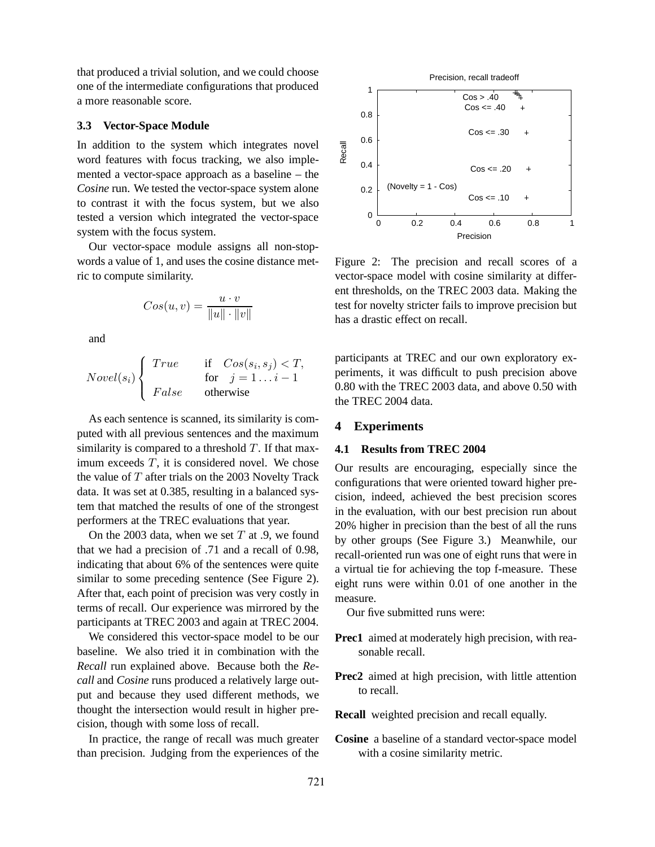that produced a trivial solution, and we could choose one of the intermediate configurations that produced a more reasonable score.

#### **3.3 Vector-Space Module**

In addition to the system which integrates novel word features with focus tracking, we also implemented a vector-space approach as a baseline – the *Cosine* run. We tested the vector-space system alone to contrast it with the focus system, but we also tested a version which integrated the vector-space system with the focus system.

Our vector-space module assigns all non-stopwords a value of 1, and uses the cosine distance metric to compute similarity.

$$
Cos(u, v) = \frac{u \cdot v}{\|u\| \cdot \|v\|}
$$

and

 $Nowel(s_i)$  $\sqrt{ }$ <sup>1</sup>  $\overline{\mathcal{L}}$ True if  $Cos(s_i, s_j) < T$ , for  $j = 1...i - 1$ False otherwise

As each sentence is scanned, its similarity is computed with all previous sentences and the maximum similarity is compared to a threshold  $T$ . If that maximum exceeds  $T$ , it is considered novel. We chose the value of  $T$  after trials on the 2003 Novelty Track data. It was set at 0.385, resulting in a balanced system that matched the results of one of the strongest performers at the TREC evaluations that year.

On the 2003 data, when we set  $T$  at .9, we found that we had a precision of .71 and a recall of 0.98, indicating that about 6% of the sentences were quite similar to some preceding sentence (See Figure 2). After that, each point of precision was very costly in terms of recall. Our experience was mirrored by the participants at TREC 2003 and again at TREC 2004.

We considered this vector-space model to be our baseline. We also tried it in combination with the *Recall* run explained above. Because both the *Recall* and *Cosine* runs produced a relatively large output and because they used different methods, we thought the intersection would result in higher precision, though with some loss of recall.

In practice, the range of recall was much greater than precision. Judging from the experiences of the



Figure 2: The precision and recall scores of a vector-space model with cosine similarity at different thresholds, on the TREC 2003 data. Making the test for novelty stricter fails to improve precision but has a drastic effect on recall.

participants at TREC and our own exploratory experiments, it was difficult to push precision above 0.80 with the TREC 2003 data, and above 0.50 with the TREC 2004 data.

#### **4 Experiments**

## **4.1 Results from TREC 2004**

Our results are encouraging, especially since the configurations that were oriented toward higher precision, indeed, achieved the best precision scores in the evaluation, with our best precision run about 20% higher in precision than the best of all the runs by other groups (See Figure 3.) Meanwhile, our recall-oriented run was one of eight runs that were in a virtual tie for achieving the top f-measure. These eight runs were within 0.01 of one another in the measure.

Our five submitted runs were:

- **Prec1** aimed at moderately high precision, with reasonable recall.
- **Prec2** aimed at high precision, with little attention to recall.
- **Recall** weighted precision and recall equally.
- **Cosine** a baseline of a standard vector-space model with a cosine similarity metric.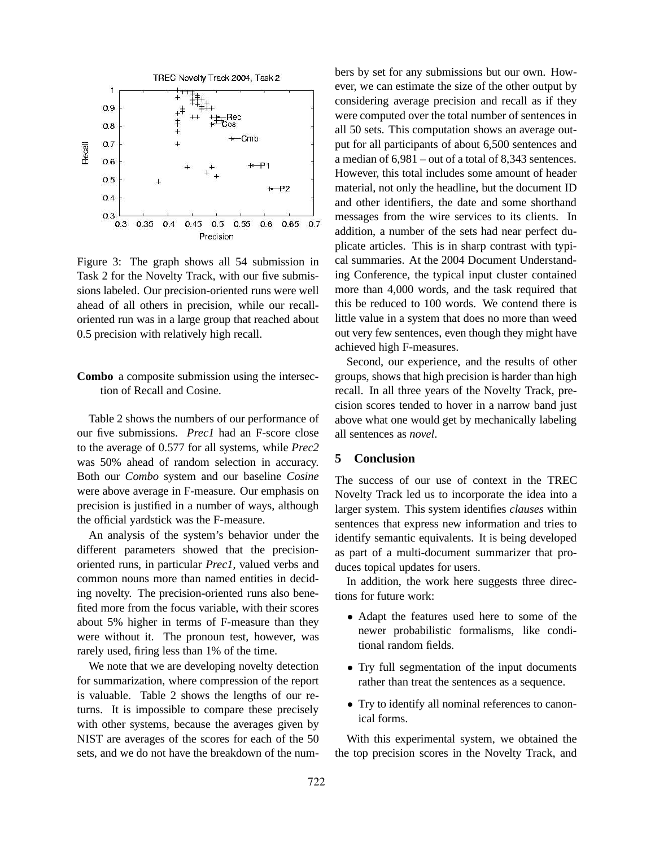

Figure 3: The graph shows all 54 submission in Task 2 for the Novelty Track, with our five submissions labeled. Our precision-oriented runs were well ahead of all others in precision, while our recalloriented run was in a large group that reached about 0.5 precision with relatively high recall.

# **Combo** a composite submission using the intersection of Recall and Cosine.

Table 2 shows the numbers of our performance of our five submissions. *Prec1* had an F-score close to the average of 0.577 for all systems, while *Prec2* was 50% ahead of random selection in accuracy. Both our *Combo* system and our baseline *Cosine* were above average in F-measure. Our emphasis on precision is justified in a number of ways, although the official yardstick was the F-measure.

An analysis of the system's behavior under the different parameters showed that the precisionoriented runs, in particular *Prec1*, valued verbs and common nouns more than named entities in deciding novelty. The precision-oriented runs also benefited more from the focus variable, with their scores about 5% higher in terms of F-measure than they were without it. The pronoun test, however, was rarely used, firing less than 1% of the time.

We note that we are developing novelty detection for summarization, where compression of the report is valuable. Table 2 shows the lengths of our returns. It is impossible to compare these precisely with other systems, because the averages given by NIST are averages of the scores for each of the 50 sets, and we do not have the breakdown of the numbers by set for any submissions but our own. However, we can estimate the size of the other output by considering average precision and recall as if they were computed over the total number of sentences in all 50 sets. This computation shows an average output for all participants of about 6,500 sentences and a median of 6,981 – out of a total of 8,343 sentences. However, this total includes some amount of header material, not only the headline, but the document ID and other identifiers, the date and some shorthand messages from the wire services to its clients. In addition, a number of the sets had near perfect duplicate articles. This is in sharp contrast with typical summaries. At the 2004 Document Understanding Conference, the typical input cluster contained more than 4,000 words, and the task required that this be reduced to 100 words. We contend there is little value in a system that does no more than weed out very few sentences, even though they might have achieved high F-measures.

Second, our experience, and the results of other groups, shows that high precision is harder than high recall. In all three years of the Novelty Track, precision scores tended to hover in a narrow band just above what one would get by mechanically labeling all sentences as *novel*.

# **5 Conclusion**

The success of our use of context in the TREC Novelty Track led us to incorporate the idea into a larger system. This system identifies *clauses* within sentences that express new information and tries to identify semantic equivalents. It is being developed as part of a multi-document summarizer that produces topical updates for users.

In addition, the work here suggests three directions for future work:

- Adapt the features used here to some of the newer probabilistic formalisms, like conditional random fields.
- Try full segmentation of the input documents rather than treat the sentences as a sequence.
- Try to identify all nominal references to canonical forms.

With this experimental system, we obtained the the top precision scores in the Novelty Track, and